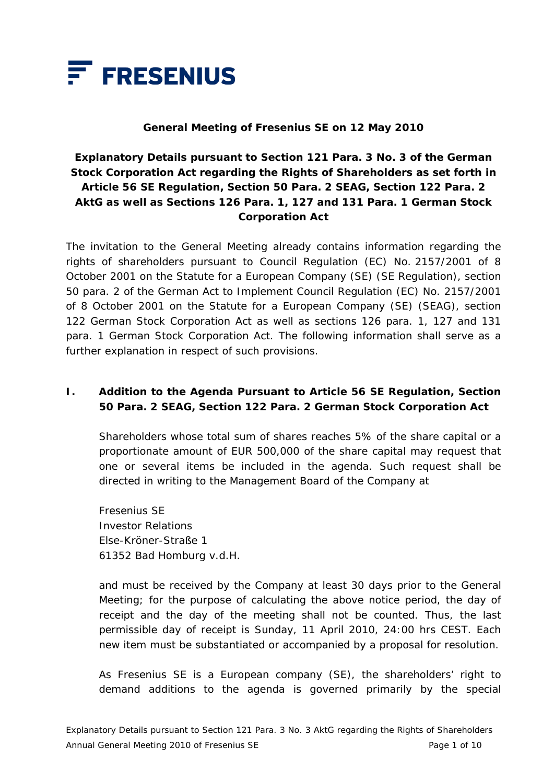

#### **General Meeting of Fresenius SE on 12 May 2010**

# **Explanatory Details pursuant to Section 121 Para. 3 No. 3 of the German Stock Corporation Act regarding the Rights of Shareholders as set forth in Article 56 SE Regulation, Section 50 Para. 2 SEAG, Section 122 Para. 2 AktG as well as Sections 126 Para. 1, 127 and 131 Para. 1 German Stock Corporation Act**

The invitation to the General Meeting already contains information regarding the rights of shareholders pursuant to Council Regulation (EC) No. 2157/2001 of 8 October 2001 on the Statute for a European Company (SE) (SE Regulation), section 50 para. 2 of the German Act to Implement Council Regulation (EC) No. 2157/2001 of 8 October 2001 on the Statute for a European Company (SE) (SEAG), section 122 German Stock Corporation Act as well as sections 126 para. 1, 127 and 131 para. 1 German Stock Corporation Act. The following information shall serve as a further explanation in respect of such provisions.

# **I. Addition to the Agenda Pursuant to Article 56 SE Regulation, Section 50 Para. 2 SEAG, Section 122 Para. 2 German Stock Corporation Act**

 Shareholders whose total sum of shares reaches 5% of the share capital or a proportionate amount of EUR 500,000 of the share capital may request that one or several items be included in the agenda. Such request shall be directed in writing to the Management Board of the Company at

 Fresenius SE Investor Relations Else-Kröner-Straße 1 61352 Bad Homburg v.d.H.

 and must be received by the Company at least 30 days prior to the General Meeting; for the purpose of calculating the above notice period, the day of receipt and the day of the meeting shall not be counted. Thus, the last permissible day of receipt is Sunday, 11 April 2010, 24:00 hrs CEST. Each new item must be substantiated or accompanied by a proposal for resolution.

 As Fresenius SE is a European company (SE), the shareholders' right to demand additions to the agenda is governed primarily by the special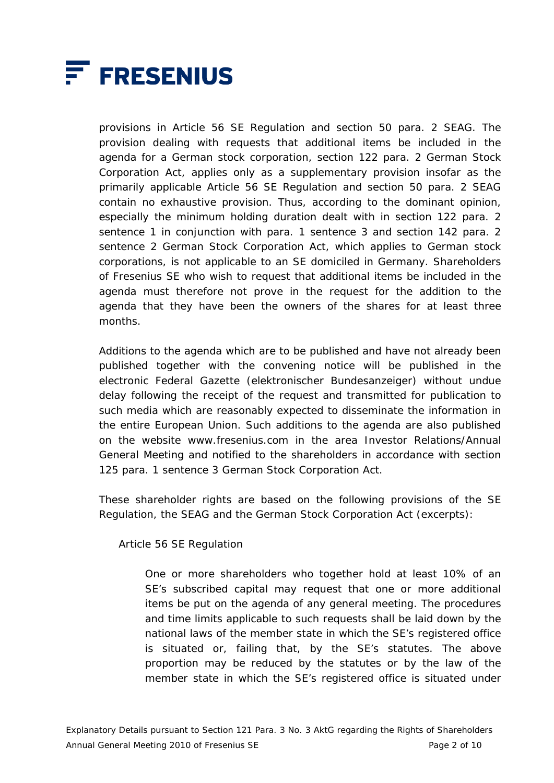

provisions in Article 56 SE Regulation and section 50 para. 2 SEAG. The provision dealing with requests that additional items be included in the agenda for a German stock corporation, section 122 para. 2 German Stock Corporation Act, applies only as a supplementary provision insofar as the primarily applicable Article 56 SE Regulation and section 50 para. 2 SEAG contain no exhaustive provision. Thus, according to the dominant opinion, especially the minimum holding duration dealt with in section 122 para. 2 sentence 1 in conjunction with para. 1 sentence 3 and section 142 para. 2 sentence 2 German Stock Corporation Act, which applies to German stock corporations, is not applicable to an SE domiciled in Germany. Shareholders of Fresenius SE who wish to request that additional items be included in the agenda must therefore not prove in the request for the addition to the agenda that they have been the owners of the shares for at least three months.

 Additions to the agenda which are to be published and have not already been published together with the convening notice will be published in the electronic Federal Gazette (*elektronischer Bundesanzeiger*) without undue delay following the receipt of the request and transmitted for publication to such media which are reasonably expected to disseminate the information in the entire European Union. Such additions to the agenda are also published on the website www.fresenius.com in the area Investor Relations/Annual General Meeting and notified to the shareholders in accordance with section 125 para. 1 sentence 3 German Stock Corporation Act.

 These shareholder rights are based on the following provisions of the SE Regulation, the SEAG and the German Stock Corporation Act (excerpts):

Article 56 SE Regulation

 One or more shareholders who together hold at least 10% of an SE's subscribed capital may request that one or more additional items be put on the agenda of any general meeting. The procedures and time limits applicable to such requests shall be laid down by the national laws of the member state in which the SE's registered office is situated or, failing that, by the SE's statutes. The above proportion may be reduced by the statutes or by the law of the member state in which the SE's registered office is situated under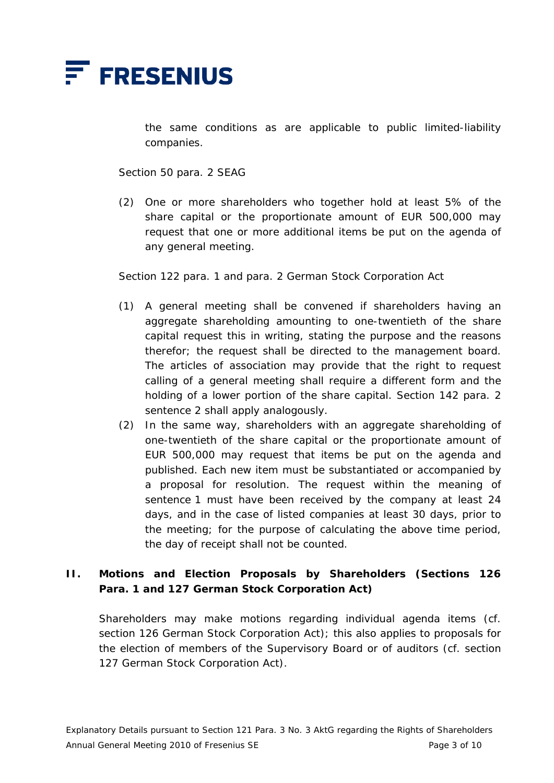

the same conditions as are applicable to public limited-liability companies.

Section 50 para. 2 SEAG

(2) One or more shareholders who together hold at least 5% of the share capital or the proportionate amount of EUR 500,000 may request that one or more additional items be put on the agenda of any general meeting.

Section 122 para. 1 and para. 2 German Stock Corporation Act

- (1) A general meeting shall be convened if shareholders having an aggregate shareholding amounting to one-twentieth of the share capital request this in writing, stating the purpose and the reasons therefor; the request shall be directed to the management board. The articles of association may provide that the right to request calling of a general meeting shall require a different form and the holding of a lower portion of the share capital. Section 142 para. 2 sentence 2 shall apply analogously.
- (2) In the same way, shareholders with an aggregate shareholding of one-twentieth of the share capital or the proportionate amount of EUR 500,000 may request that items be put on the agenda and published. Each new item must be substantiated or accompanied by a proposal for resolution. The request within the meaning of sentence 1 must have been received by the company at least 24 days, and in the case of listed companies at least 30 days, prior to the meeting; for the purpose of calculating the above time period, the day of receipt shall not be counted.

# **II. Motions and Election Proposals by Shareholders (Sections 126 Para. 1 and 127 German Stock Corporation Act)**

 Shareholders may make motions regarding individual agenda items (cf. section 126 German Stock Corporation Act); this also applies to proposals for the election of members of the Supervisory Board or of auditors (cf. section 127 German Stock Corporation Act).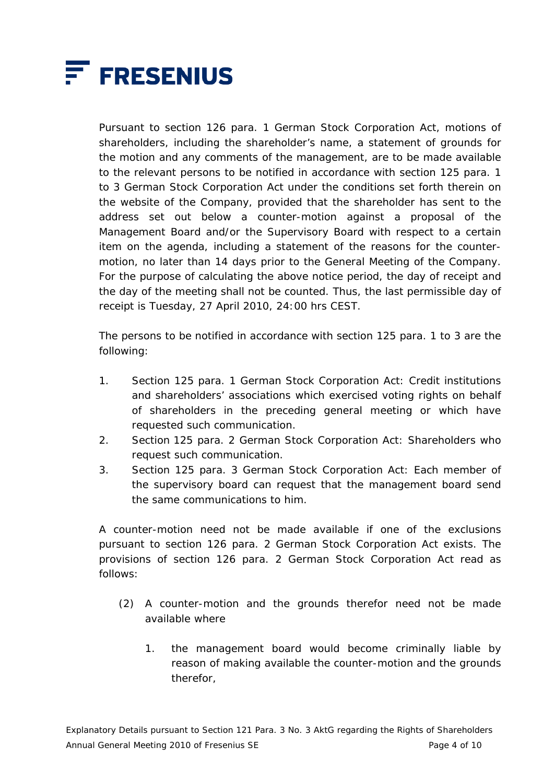

 Pursuant to section 126 para. 1 German Stock Corporation Act, motions of shareholders, including the shareholder's name, a statement of grounds for the motion and any comments of the management, are to be made available to the relevant persons to be notified in accordance with section 125 para. 1 to 3 German Stock Corporation Act under the conditions set forth therein on the website of the Company, provided that the shareholder has sent to the address set out below a counter-motion against a proposal of the Management Board and/or the Supervisory Board with respect to a certain item on the agenda, including a statement of the reasons for the countermotion, no later than 14 days prior to the General Meeting of the Company. For the purpose of calculating the above notice period, the day of receipt and the day of the meeting shall not be counted. Thus, the last permissible day of receipt is Tuesday, 27 April 2010, 24:00 hrs CEST.

 The persons to be notified in accordance with section 125 para. 1 to 3 are the following:

- 1. Section 125 para. 1 German Stock Corporation Act: Credit institutions and shareholders' associations which exercised voting rights on behalf of shareholders in the preceding general meeting or which have requested such communication.
- 2. Section 125 para. 2 German Stock Corporation Act: Shareholders who request such communication.
- 3. Section 125 para. 3 German Stock Corporation Act: Each member of the supervisory board can request that the management board send the same communications to him.

 A counter-motion need not be made available if one of the exclusions pursuant to section 126 para. 2 German Stock Corporation Act exists. The provisions of section 126 para. 2 German Stock Corporation Act read as follows:

- (2) A counter-motion and the grounds therefor need not be made available where
	- 1. the management board would become criminally liable by reason of making available the counter-motion and the grounds therefor,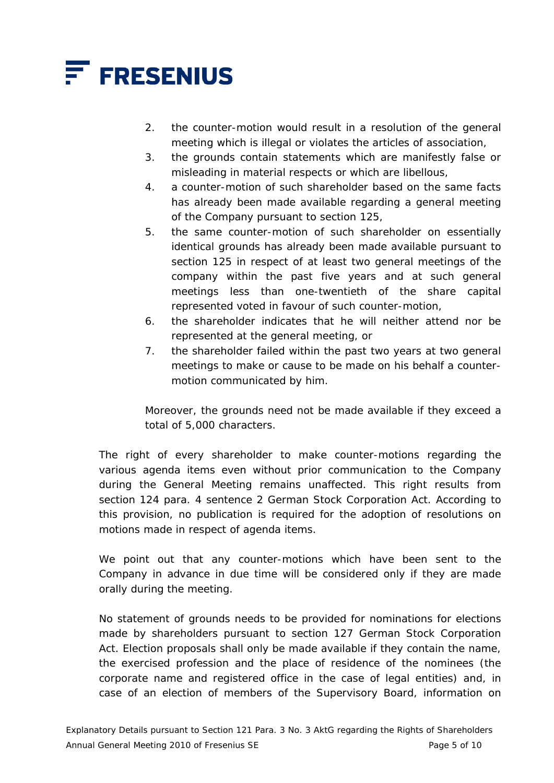

- 2. the counter-motion would result in a resolution of the general meeting which is illegal or violates the articles of association,
- 3. the grounds contain statements which are manifestly false or misleading in material respects or which are libellous,
- 4. a counter-motion of such shareholder based on the same facts has already been made available regarding a general meeting of the Company pursuant to section 125,
- 5. the same counter-motion of such shareholder on essentially identical grounds has already been made available pursuant to section 125 in respect of at least two general meetings of the company within the past five years and at such general meetings less than one-twentieth of the share capital represented voted in favour of such counter-motion,
- 6. the shareholder indicates that he will neither attend nor be represented at the general meeting, or
- 7. the shareholder failed within the past two years at two general meetings to make or cause to be made on his behalf a countermotion communicated by him.

 Moreover, the grounds need not be made available if they exceed a total of 5,000 characters.

 The right of every shareholder to make counter-motions regarding the various agenda items even without prior communication to the Company during the General Meeting remains unaffected. This right results from section 124 para. 4 sentence 2 German Stock Corporation Act. According to this provision, no publication is required for the adoption of resolutions on motions made in respect of agenda items.

 We point out that any counter-motions which have been sent to the Company in advance in due time will be considered only if they are made orally during the meeting.

 No statement of grounds needs to be provided for nominations for elections made by shareholders pursuant to section 127 German Stock Corporation Act. Election proposals shall only be made available if they contain the name, the exercised profession and the place of residence of the nominees (the corporate name and registered office in the case of legal entities) and, in case of an election of members of the Supervisory Board, information on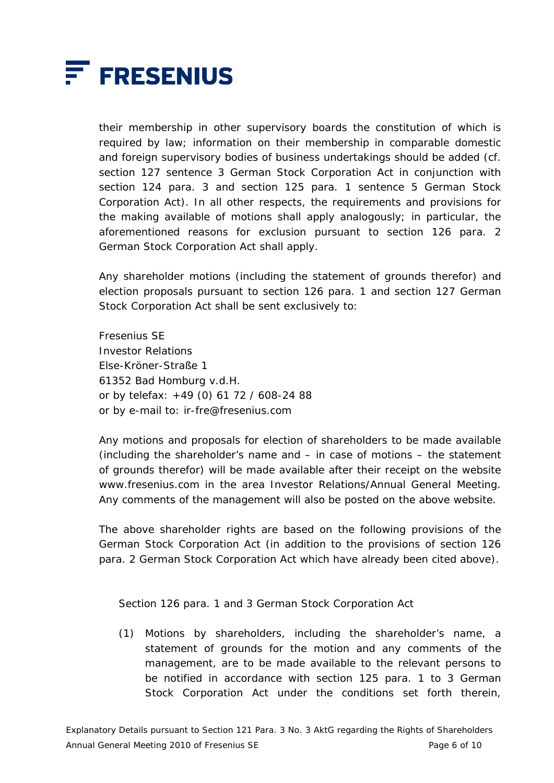

their membership in other supervisory boards the constitution of which is required by law; information on their membership in comparable domestic and foreign supervisory bodies of business undertakings should be added (cf. section 127 sentence 3 German Stock Corporation Act in conjunction with section 124 para. 3 and section 125 para. 1 sentence 5 German Stock Corporation Act). In all other respects, the requirements and provisions for the making available of motions shall apply analogously; in particular, the aforementioned reasons for exclusion pursuant to section 126 para. 2 German Stock Corporation Act shall apply.

 Any shareholder motions (including the statement of grounds therefor) and election proposals pursuant to section 126 para. 1 and section 127 German Stock Corporation Act shall be sent exclusively to:

 Fresenius SE Investor Relations Else-Kröner-Straße 1 61352 Bad Homburg v.d.H. or by telefax: +49 (0) 61 72 / 608-24 88 or by e-mail to: ir-fre@fresenius.com

 Any motions and proposals for election of shareholders to be made available (including the shareholder's name and – in case of motions – the statement of grounds therefor) will be made available after their receipt on the website www.fresenius.com in the area Investor Relations/Annual General Meeting. Any comments of the management will also be posted on the above website.

 The above shareholder rights are based on the following provisions of the German Stock Corporation Act (in addition to the provisions of section 126 para. 2 German Stock Corporation Act which have already been cited above).

Section 126 para. 1 and 3 German Stock Corporation Act

(1) Motions by shareholders, including the shareholder's name, a statement of grounds for the motion and any comments of the management, are to be made available to the relevant persons to be notified in accordance with section 125 para. 1 to 3 German Stock Corporation Act under the conditions set forth therein,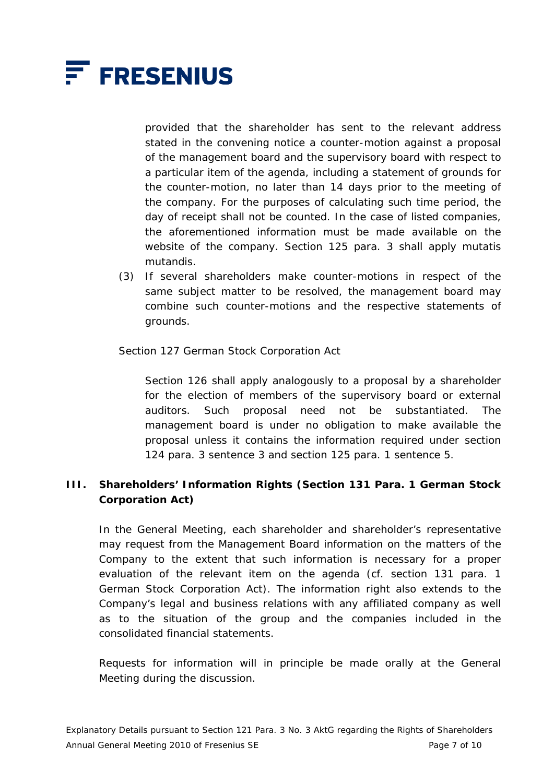

provided that the shareholder has sent to the relevant address stated in the convening notice a counter-motion against a proposal of the management board and the supervisory board with respect to a particular item of the agenda, including a statement of grounds for the counter-motion, no later than 14 days prior to the meeting of the company. For the purposes of calculating such time period, the day of receipt shall not be counted. In the case of listed companies, the aforementioned information must be made available on the website of the company. Section 125 para. 3 shall apply mutatis mutandis.

(3) If several shareholders make counter-motions in respect of the same subject matter to be resolved, the management board may combine such counter-motions and the respective statements of grounds.

Section 127 German Stock Corporation Act

 Section 126 shall apply analogously to a proposal by a shareholder for the election of members of the supervisory board or external auditors. Such proposal need not be substantiated. The management board is under no obligation to make available the proposal unless it contains the information required under section 124 para. 3 sentence 3 and section 125 para. 1 sentence 5.

# **III. Shareholders' Information Rights (Section 131 Para. 1 German Stock Corporation Act)**

 In the General Meeting, each shareholder and shareholder's representative may request from the Management Board information on the matters of the Company to the extent that such information is necessary for a proper evaluation of the relevant item on the agenda (cf. section 131 para. 1 German Stock Corporation Act). The information right also extends to the Company's legal and business relations with any affiliated company as well as to the situation of the group and the companies included in the consolidated financial statements.

 Requests for information will in principle be made orally at the General Meeting during the discussion.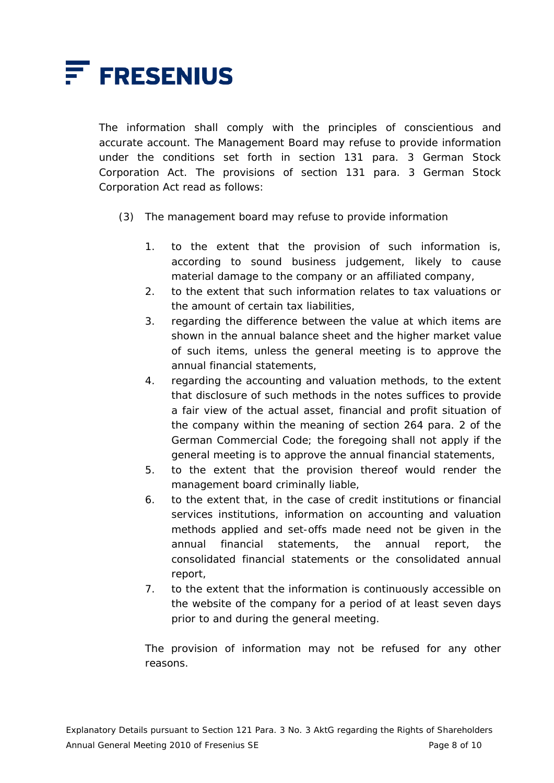

 The information shall comply with the principles of conscientious and accurate account. The Management Board may refuse to provide information under the conditions set forth in section 131 para. 3 German Stock Corporation Act. The provisions of section 131 para. 3 German Stock Corporation Act read as follows:

- (3) The management board may refuse to provide information
	- 1. to the extent that the provision of such information is, according to sound business judgement, likely to cause material damage to the company or an affiliated company,
	- 2. to the extent that such information relates to tax valuations or the amount of certain tax liabilities,
	- 3. regarding the difference between the value at which items are shown in the annual balance sheet and the higher market value of such items, unless the general meeting is to approve the annual financial statements,
	- 4. regarding the accounting and valuation methods, to the extent that disclosure of such methods in the notes suffices to provide a fair view of the actual asset, financial and profit situation of the company within the meaning of section 264 para. 2 of the German Commercial Code; the foregoing shall not apply if the general meeting is to approve the annual financial statements,
	- 5. to the extent that the provision thereof would render the management board criminally liable,
	- 6. to the extent that, in the case of credit institutions or financial services institutions, information on accounting and valuation methods applied and set-offs made need not be given in the annual financial statements, the annual report, the consolidated financial statements or the consolidated annual report,
	- 7. to the extent that the information is continuously accessible on the website of the company for a period of at least seven days prior to and during the general meeting.

 The provision of information may not be refused for any other reasons.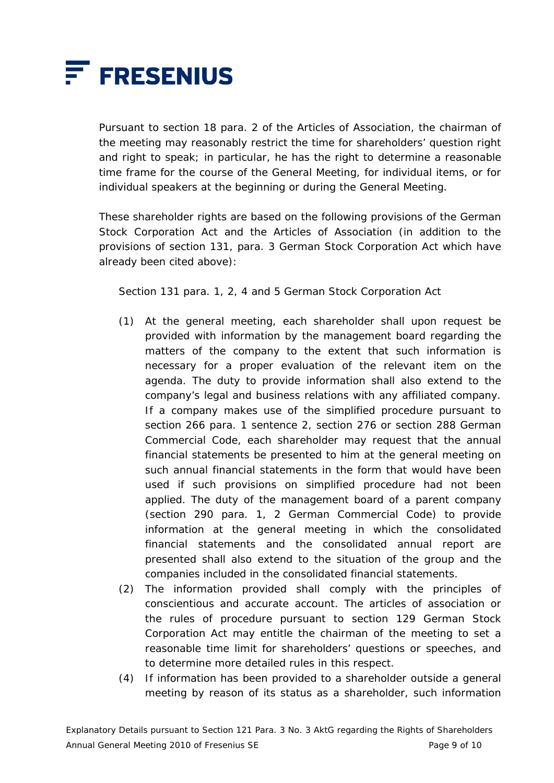

 Pursuant to section 18 para. 2 of the Articles of Association, the chairman of the meeting may reasonably restrict the time for shareholders' question right and right to speak; in particular, he has the right to determine a reasonable time frame for the course of the General Meeting, for individual items, or for individual speakers at the beginning or during the General Meeting.

 These shareholder rights are based on the following provisions of the German Stock Corporation Act and the Articles of Association (in addition to the provisions of section 131, para. 3 German Stock Corporation Act which have already been cited above):

Section 131 para. 1, 2, 4 and 5 German Stock Corporation Act

- (1) At the general meeting, each shareholder shall upon request be provided with information by the management board regarding the matters of the company to the extent that such information is necessary for a proper evaluation of the relevant item on the agenda. The duty to provide information shall also extend to the company's legal and business relations with any affiliated company. If a company makes use of the simplified procedure pursuant to section 266 para. 1 sentence 2, section 276 or section 288 German Commercial Code, each shareholder may request that the annual financial statements be presented to him at the general meeting on such annual financial statements in the form that would have been used if such provisions on simplified procedure had not been applied. The duty of the management board of a parent company (section 290 para. 1, 2 German Commercial Code) to provide information at the general meeting in which the consolidated financial statements and the consolidated annual report are presented shall also extend to the situation of the group and the companies included in the consolidated financial statements.
- (2) The information provided shall comply with the principles of conscientious and accurate account. The articles of association or the rules of procedure pursuant to section 129 German Stock Corporation Act may entitle the chairman of the meeting to set a reasonable time limit for shareholders' questions or speeches, and to determine more detailed rules in this respect.
- (4) If information has been provided to a shareholder outside a general meeting by reason of its status as a shareholder, such information